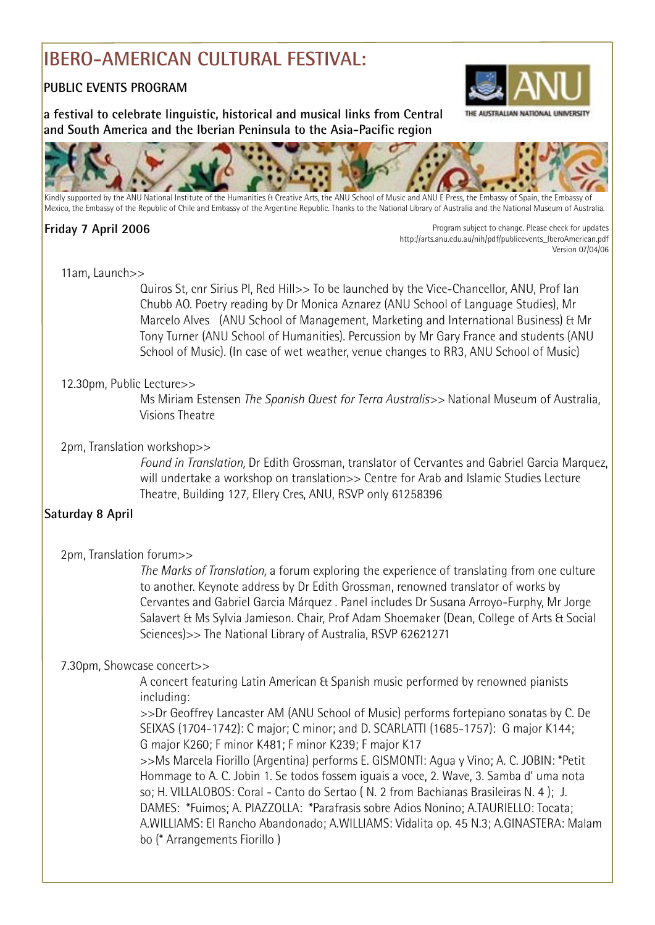# **IBERO-AMERICAN CULTURAL FESTIVAL:**

## **PUBLIC EVENTS PROGRAM**

**a festival to celebrate linguistic, historical and musical links from Central and South America and the Iberian Peninsula to the Asia-Pacific region**





Kindly supported by the ANU National Institute of the Humanities & Creative Arts, the ANU School of Music and ANU E Press, the Embassy of Spain, the Embassy of Mexico, the Embassy of the Republic of Chile and Embassy of the Argentine Republic. Thanks to the National Library of Australia and the National Museum of Australia.

### **Friday 7 April 2006**

Program subject to change. Please check for updates http://arts.anu.edu.au/nih/pdf/publicevents\_IberoAmerican.pdf Version 07/04/06

11am, Launch>>

Quiros St, cnr Sirius Pl, Red Hill>> To be launched by the Vice-Chancellor, ANU, Prof Ian Chubb AO. Poetry reading by Dr Monica Aznarez (ANU School of Language Studies), Mr Marcelo Alves (ANU School of Management, Marketing and International Business) & Mr Tony Turner (ANU School of Humanities). Percussion by Mr Gary France and students (ANU School of Music). (In case of wet weather, venue changes to RR3, ANU School of Music)

#### 12.30pm, Public Lecture>>

 Ms Miriam Estensen *The Spanish Quest for Terra Australis>>* National Museum of Australia, Visions Theatre

#### 2pm, Translation workshop>>

 *Found in Translation,* Dr Edith Grossman, translator of Cervantes and Gabriel Garcia Marquez, will undertake a workshop on translation >> Centre for Arab and Islamic Studies Lecture Theatre, Building 127, Ellery Cres, ANU, RSVP only 61258396

#### **Saturday 8 April**

#### 2pm, Translation forum>>

 *The Marks of Translation,* a forum exploring the experience of translating from one culture to another. Keynote address by Dr Edith Grossman, renowned translator of works by Cervantes and Gabriel Garcia Márquez . Panel includes Dr Susana Arroyo-Furphy, Mr Jorge Salavert & Ms Sylvia Jamieson. Chair, Prof Adam Shoemaker (Dean, College of Arts & Social Sciences)>> The National Library of Australia, RSVP 62621271

#### 7.30pm, Showcase concert>>

 A concert featuring Latin American & Spanish music performed by renowned pianists including:

 >>Dr Geoffrey Lancaster AM (ANU School of Music) performs fortepiano sonatas by C. De SEIXAS (1704-1742): C major; C minor; and D. SCARLATTI (1685-1757): G major K144; G major K260; F minor K481; F minor K239; F major K17

 >>Ms Marcela Fiorillo (Argentina) performs E. GISMONTI: Agua y Vino; A. C. JOBIN: \*Petit Hommage to A. C. Jobin 1. Se todos fossem iguais a voce, 2. Wave, 3. Samba d' uma nota so; H. VILLALOBOS: Coral - Canto do Sertao ( N. 2 from Bachianas Brasileiras N. 4 ); J. DAMES: \*Fuimos; A. PIAZZOLLA: \*Parafrasis sobre Adios Nonino; A.TAURIELLO: Tocata; A.WILLIAMS: El Rancho Abandonado; A.WILLIAMS: Vidalita op. 45 N.3; A.GINASTERA: Malam bo (\* Arrangements Fiorillo )